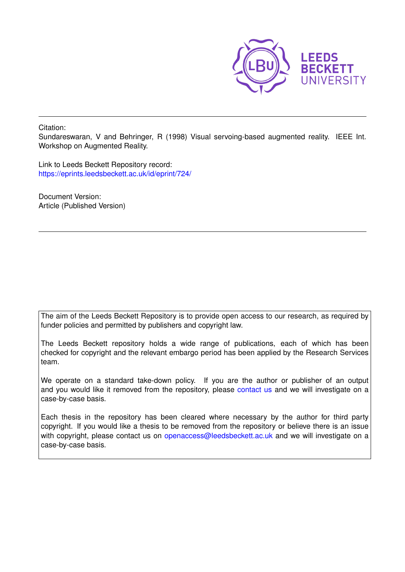

Citation:

Sundareswaran, V and Behringer, R (1998) Visual servoing-based augmented reality. IEEE Int. Workshop on Augmented Reality.

Link to Leeds Beckett Repository record: <https://eprints.leedsbeckett.ac.uk/id/eprint/724/>

Document Version: Article (Published Version)

The aim of the Leeds Beckett Repository is to provide open access to our research, as required by funder policies and permitted by publishers and copyright law.

The Leeds Beckett repository holds a wide range of publications, each of which has been checked for copyright and the relevant embargo period has been applied by the Research Services team.

We operate on a standard take-down policy. If you are the author or publisher of an output and you would like it removed from the repository, please [contact us](mailto:openaccess@leedsbeckett.ac.uk) and we will investigate on a case-by-case basis.

Each thesis in the repository has been cleared where necessary by the author for third party copyright. If you would like a thesis to be removed from the repository or believe there is an issue with copyright, please contact us on [openaccess@leedsbeckett.ac.uk](mailto:openaccess@leedsbeckett.ac.uk) and we will investigate on a case-by-case basis.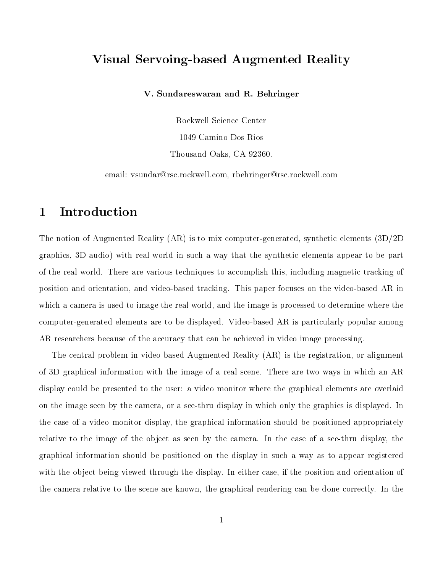# Visual Servoing-based Augmented Reality

V. Sundareswaran and R. Behringer

Rockwell Science Center 1049 Camino Dos Rios Thousand Oaks, CA 92360.

email: vsundar@rsc.rockwell.com, rbehringer@rsc.rockwell.com

# 1 Introduction

The notion of Augmented Reality (AR) is to mix computer-generated, synthetic elements (3D/2D graphics, 3D audio) with real world in such a way that the synthetic elements appear to be part of the real world. There are various techniques to accomplish this, including magnetic tracking of position and orientation, and video-based tracking. This paper focuses on the video-based AR in which a camera is used to image the real world, and the image is processed to determine where the computer-generated elements are to be displayed. Video-based AR is particularly popular among AR researchers because of the accuracy that can be achieved in video image processing.

The central problem in video-based Augmented Reality (AR) is the registration, or alignment of 3D graphical information with the image of a real scene. There are two ways in which an AR display could be presented to the user: a video monitor where the graphical elements are overlaid on the image seen by the camera, or a see-thru display in which only the graphics is displayed. In the case of a video monitor display, the graphical information should be positioned appropriately relative to the image of the object as seen by the camera. In the case of a see-thru display, the graphical information should be positioned on the display in such a way as to appear registered with the object being viewed through the display. In either case, if the position and orientation of the camera relative to the scene are known, the graphical rendering can be done correctly. In the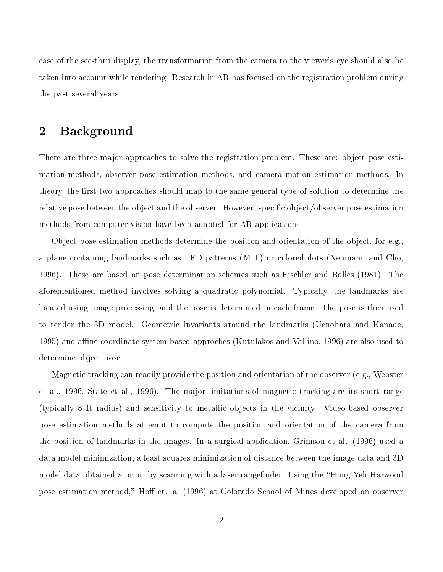case of the see-thru display, the transformation from the camera to the viewer's eye should also be taken into account while rendering. Research in AR has focused on the registration problem during the past several years.

# 2 Background

There are three major approaches to solve the registration problem. These are: object pose estimation methods, observer pose estimation methods, and camera motion estimation methods. In theory, the first two approaches should map to the same general type of solution to determine the relative pose between the object and the observer. However, specific object/observer pose estimation methods from computer vision have been adapted for AR applications.

Object pose estimation methods determine the position and orientation of the object, for e.g., a plane containing landmarks such as LED patterns (MIT) or colored dots (Neumann and Cho, 1996). These are based on pose determination schemes such as Fischler and Bolles (1981). The aforementioned method involves solving a quadratic polynomial. Typically, the landmarks are located using image processing, and the pose is determined in each frame. The pose is then used to render the 3D model. Geometric invariants around the landmarks (Uenohara and Kanade, 1995) and affine coordinate system-based approches (Kutulakos and Vallino, 1996) are also used to determine object pose.

Magnetic tracking can readily provide the position and orientation of the observer (e.g., Webster et al., 1996, State et al., 1996). The major limitations of magnetic tracking are its short range (typically 8 ft radius) and sensitivity to metallic ob jects in the vicinity. Video-based observer pose estimation methods attempt to compute the position and orientation of the camera from the position of landmarks in the images. In a surgical application, Grimson etal. (1996) used a data-model minimization, a least squares minimization of distance between the image data and 3D model data obtained a priori by scanning with a laser rangefinder. Using the "Hung-Yeh-Harwood pose estimation method," Hoff et. al (1996) at Colorado School of Mines developed an observer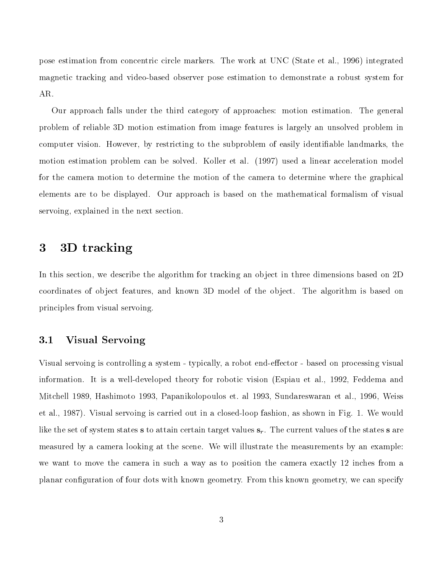pose estimation from concentric circle markers. The work at UNC (State et al., 1996) integrated magnetic tracking and video-based observer pose estimation to demonstrate a robust system for AR.

Our approach falls under the third category of approaches: motion estimation. The general problem of reliable 3D motion estimation from image features is largely an unsolved problem in computer vision. However, by restricting to the subproblem of easily identiable landmarks, the motion estimation problem can be solved. Koller et al. (1997) used a linear acceleration model for the camera motion to determine the motion of the camera to determine where the graphical elements are to be displayed. Our approach is based on the mathematical formalism of visual servoing, explained in the next section.

## 3 3D tracking

In this section, we describe the algorithm for tracking an object in three dimensions based on 2D coordinates of object features, and known 3D model of the object. The algorithm is based on principles from visual servoing.

### 3.1 Visual Servoing

Visual servoing is controlling a system - typically, a robot end-effector - based on processing visual information. It is a well-developed theory for robotic vision (Espiau etal., 1992, Feddema and Mitchell 1989, Hashimoto 1993, Papanikolopoulos et. al 1993, Sundareswaran et al., 1996, Weiss et al., 1987). Visual servoing is carried out in a closed-loop fashion, as shown in Fig.1. We would like the set of system states s to attain certain target values  $s_r$ . The current values of the states s are measured by a camera looking at the scene. We will illustrate the measurements by an example: we want to move the camera in such a way as to position the camera exactly 12 inches from a planar conguration of four dots with known geometry. From this known geometry, we can specify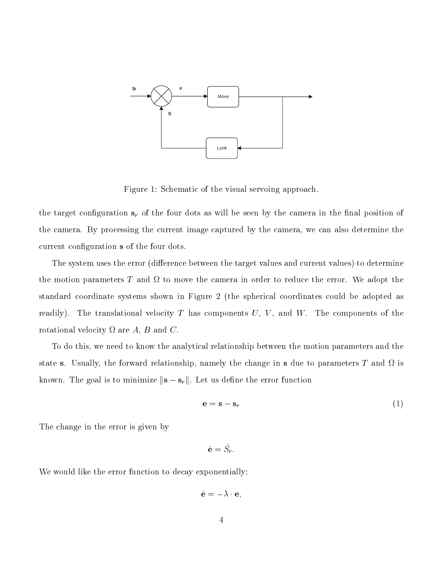

Figure 1: Schematic of the visual servoing approach.

the target configuration  $s_r$  of the four dots as will be seen by the camera in the final position of the camera. By processing the current image captured by the camera, we can also determine the current configuration s of the four dots.

The system uses the error (difference between the target values and current values) to determine the motion parameters T and to move the camera in order to reduce the error. We adopt the standard coordinate systems shown in Figure 2 (the spherical coordinates could be adopted as readily). The translational velocity T has components  $U, V$ , and  $W$ . The components of the rotational velocity are A, B and C.

To do this, we need to know the analytical relationship between the motion parameters and the state s. Usually, the forward relationship, namely the change in <sup>s</sup> due to parameters T and is known. The goal is to minimize  $\|\mathbf{s} - \mathbf{s}_r\|$ . Let us define the error function

$$
\mathbf{e} = \mathbf{s} - \mathbf{s}_r \tag{1}
$$

The change in the error is given by

$$
\dot{\mathbf{e}} = S_r.
$$

We would like the error function to decay exponentially:

e\_ = e;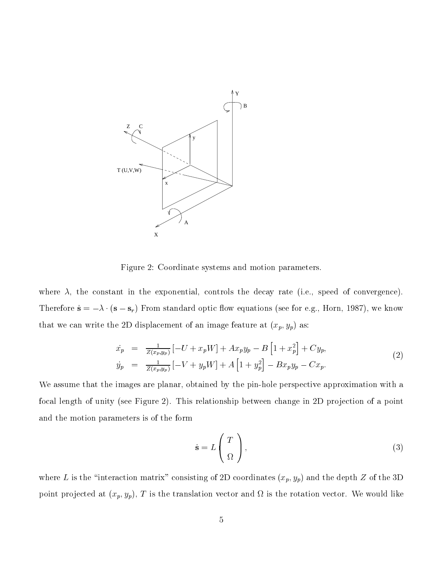

Figure 2: Coordinate systems and motion parameters.

where  $\lambda$ , the constant in the exponential, controls the decay rate (i.e., speed of convergence). Therefore  $\dot{\mathbf{s}} = -\lambda \cdot (\mathbf{s} - \mathbf{s}_r)$  From standard optic flow equations (see for e.g., Horn, 1987), we know that we can write the 2D displacement of an image feature at  $(x_p, y_p)$  as:

$$
\begin{array}{rcl}\n\dot{x}_p & = & \frac{1}{Z(x_p, y_p)} \left[ -U + x_p W \right] + A x_p y_p - B \left[ 1 + x_p^2 \right] + C y_p, \\
\dot{y}_p & = & \frac{1}{Z(x_p, y_p)} \left[ -V + y_p W \right] + A \left[ 1 + y_p^2 \right] - B x_p y_p - C x_p.\n\end{array} \tag{2}
$$

We assume that the images are planar, obtained by the pin-hole perspective approximation with a focal length of unity (see Figure 2). This relationship between change in 2D projection of a point and the motion parameters is of the form

$$
\dot{\mathbf{s}} = L\left(\begin{array}{c}T\\ \Omega\end{array}\right),\tag{3}
$$

where L is the "interaction matrix" consisting of 2D coordinates  $(x_p, y_p)$  and the depth Z of the 3D point projected at  $\mathbf{v}_i$ ,  $\mathbf{v}_j$ ,  $\mathbf{v}_j$ ,  $\mathbf{v}_j$ ,  $\mathbf{v}_j$ ,  $\mathbf{v}_j$ ,  $\mathbf{v}_j$ ,  $\mathbf{v}_j$ ,  $\mathbf{v}_j$ ,  $\mathbf{v}_j$ ,  $\mathbf{v}_j$ ,  $\mathbf{v}_j$ ,  $\mathbf{v}_j$ ,  $\mathbf{v}_j$ ,  $\mathbf{v}_j$ ,  $\mathbf{v}_j$ ,  $\mathbf{v}_j$ ,  $\mathbf{v}_j$ ,  $\mathbf$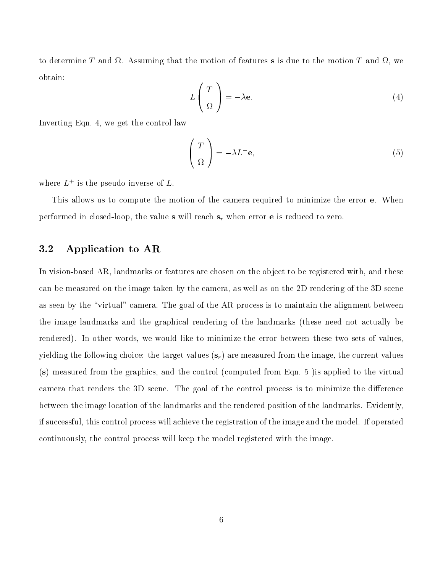.. Assuming that the motion of  $\lambda$  , we have the motion to the motion  $\lambda$  and the motion  $\lambda$  and  $\lambda$ obtain:

$$
L\left(\begin{array}{c} T \\ \Omega \end{array}\right) = -\lambda \mathbf{e}.\tag{4}
$$

Inverting Eqn. 4, we get the control law

$$
\left(\begin{array}{c} T \\ \Omega \end{array}\right) = -\lambda L^{+} \mathbf{e},\tag{5}
$$

where  $L_{\perp}$  is the pseudo-inverse of  $L$ .

This allows us to compute the motion of the camera required to minimize the error **e**. When performed in closed-loop, the value s will reach  $s_r$  when error **e** is reduced to zero.

#### 3.2 Application to AR

In vision-based AR, landmarks or features are chosen on the object to be registered with, and these can be measured on the image taken by the camera, as well as on the 2D rendering of the 3D scene as seen by the "virtual" camera. The goal of the AR process is to maintain the alignment between the image landmarks and the graphical rendering of the landmarks (these need not actually be rendered). In other words, we would like to minimize the error between these two sets of values, yielding the following choice: the target values  $(s_r)$  are measured from the image, the current values (s) measured from the graphics, and the control (computed from Eqn. 5 )is applied to the virtual camera that renders the 3D scene. The goal of the control process is to minimize the difference between the image location of the landmarks and the rendered position of the landmarks. Evidently, if successful, this control process will achieve the registration of the image and the model. If operated continuously, the control process will keep the model registered with the image.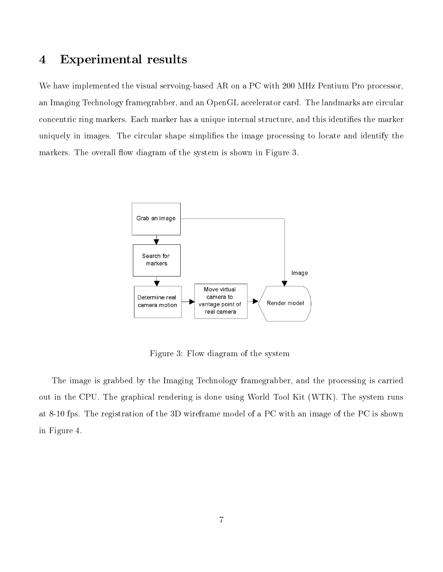#### Experimental results  $\overline{\mathbf{4}}$

We have implemented the visual servoing-based AR on a PC with 200 MHz Pentium Pro processor, an Imaging Technology framegrabber, and an OpenGL accelerator card. The landmarks are circular concentric ring markers. Each marker has a unique internal structure, and this identifies the marker uniquely in images. The circular shape simplifies the image processing to locate and identify the markers. The overall flow diagram of the system is shown in Figure 3.



Figure 3: Flow diagram of the system

The image is grabbed by the Imaging Technology framegrabber, and the processing is carried out in the CPU. The graphical rendering is done using World Tool Kit (WTK). The system runs at 8-10 fps. The registration of the 3D wireframe model of a PC with an image of the PC is shown in Figure 4.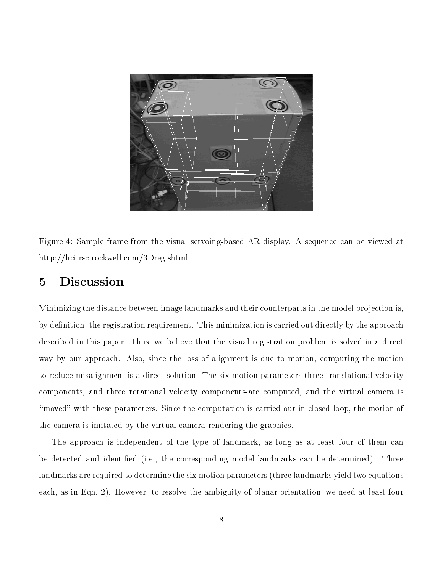

Figure 4: Sample frame from the visual servoing-based AR display. A sequence can be viewed at http://hci.rsc.rockwell.com/3Dreg.shtml.

# 5 Discussion

Minimizing the distance between image landmarks and their counterparts in the model projection is, by definition, the registration requirement. This minimization is carried out directly by the approach described in this paper. Thus, we believe that the visual registration problem is solved in a direct way by our approach. Also, since the loss of alignment is due to motion, computing the motion to reduce misalignment is a direct solution. The six motion parameters-three translational velocity components, and three rotational velocity components-are computed, and the virtual camera is "moved" with these parameters. Since the computation is carried out in closed loop, the motion of the camera is imitated by the virtual camera rendering the graphics.

The approach is independent of the type of landmark, as long as at least four of them can be detected and identied (i.e., the corresponding model landmarks can be determined). Three landmarks are required to determine the six motion parameters (three landmarks yield two equations each, as in Eqn. 2). However, to resolve the ambiguity of planar orientation, we need at least four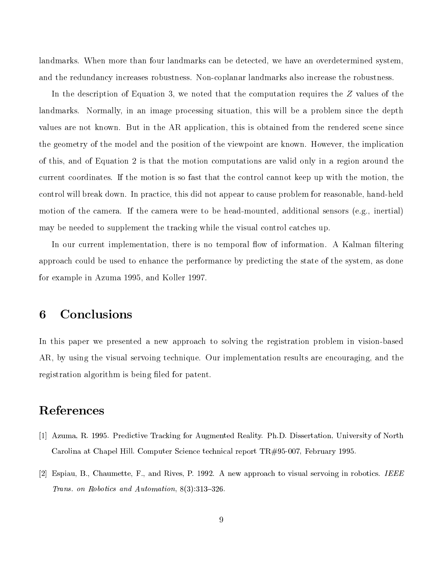landmarks. When more than four landmarks can be detected, we have an overdetermined system, and the redundancy increases robustness. Non-coplanar landmarks also increase the robustness.

In the description of Equation 3, we noted that the computation requires the Z values of the landmarks. Normally, in an image processing situation, this will be a problem since the depth values are not known. But in the AR application, this is obtained from the rendered scene since the geometry of the model and the position of the viewpoint are known. However, the implication of this, and of Equation 2 is that the motion computations are valid only in a region around the current coordinates. If the motion is so fast that the control cannot keep up with the motion, the control will break down. In practice, this did not appear to cause problem for reasonable, hand-held motion of the camera. If the camera were to be head-mounted, additional sensors (e.g., inertial) may be needed to supplement the tracking while the visual control catches up.

In our current implementation, there is no temporal flow of information. A Kalman filtering approach could be used to enhance the performance by predicting the state of the system, as done for example in Azuma 1995, and Koller 1997.

# 6 Conclusions

In this paper we presented a new approach to solving the registration problem in vision-based AR, by using the visual servoing technique. Our implementation results are encouraging, and the registration algorithm is being filed for patent.

# References

- [1] Azuma, R. 1995. Predictive Tracking for Augmented Reality. Ph.D. Dissertation, University of North Carolina at Chapel Hill. Computer Science technical report TR#95-007, February 1995.
- [2] Espiau, B., Chaumette, F., and Rives, P. 1992. A new approach to visual servoing in robotics. IEEE Trans. on Robotics and Automation,  $8(3):313-326$ .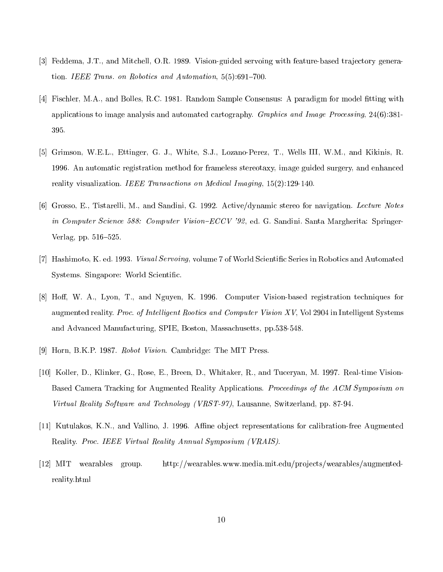- [3] Feddema, J.T., and Mitchell, O.R. 1989. Vision-guided servoing with feature-based tra jectory generation. IEEE Trans. on Robotics and Automation,  $5(5):691-700$ .
- [4] Fischler, M.A., and Bolles, R.C. 1981. Random Sample Consensus: A paradigm for model fitting with applications to image analysis and automated cartography. Graphics and Image Processing, 24(6):381- 395.
- [5] Grimson, W.E.L., Ettinger, G. J., White, S.J., Lozano-Perez, T., Wells III, W.M., and Kikinis, R. 1996. An automatic registration method for frameless stereotaxy, image guided surgery, and enhanced reality visualization. IEEE Transactions on Medical Imaging, 15(2):129-140.
- [6] Grosso, E., Tistarelli, M., and Sandini, G. 1992. Active/dynamic stereo for navigation. Lecture Notes in Computer Science 588: Computer Vision– $ECCV$  '92, ed. G. Sandini. Santa Margherita: Springer-Verlag, pp.  $516-525$ .
- [7] Hashimoto, K. ed. 1993. Visual Servoing, volume 7 of World Scientic Series in Robotics and Automated Systems. Singapore: World Scientic.
- [8] Hoff, W. A., Lyon, T., and Nguyen, K. 1996. Computer Vision-based registration techniques for augmented reality. Proc. of Intelligent Rootics and Computer Vision XV, Vol 2904 in Intelligent Systems and Advanced Manufacturing, SPIE, Boston, Massachusetts, pp.538-548.
- [9] Horn, B.K.P. 1987. Robot Vision. Cambridge: The MIT Press.
- [10] Koller, D., Klinker, G., Rose, E., Breen, D., Whitaker, R., and Tuceryan, M. 1997. Real-time Vision-Based Camera Tracking for Augmented Reality Applications. Proceedings of the ACM Symposium on Virtual Reality Software and Technology (VRST-97), Lausanne, Switzerland, pp. 87-94.
- [11] Kutulakos, K.N., and Vallino, J. 1996. Affine object representations for calibration-free Augmented Reality. Proc. IEEE Virtual Reality Annual Symposium (VRAIS).
- [12] MIT wearables group. http://wearables.www.media.mit.edu/projects/wearables/augmentedreality.html